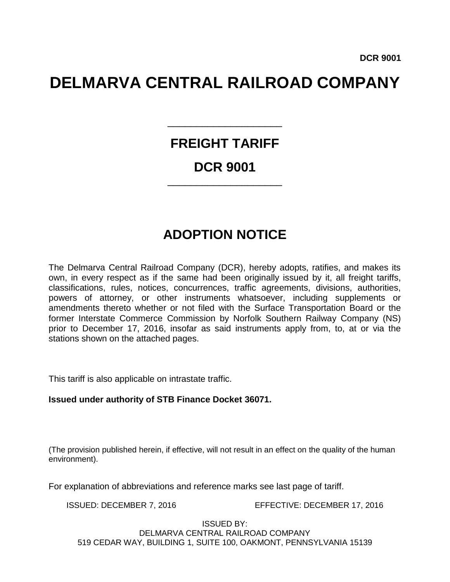# **DELMARVA CENTRAL RAILROAD COMPANY**

# **FREIGHT TARIFF DCR 9001**

\_\_\_\_\_\_\_\_\_\_\_\_\_\_\_\_\_\_\_\_

\_\_\_\_\_\_\_\_\_\_\_\_\_\_\_\_\_\_\_\_

# **ADOPTION NOTICE**

The Delmarva Central Railroad Company (DCR), hereby adopts, ratifies, and makes its own, in every respect as if the same had been originally issued by it, all freight tariffs, classifications, rules, notices, concurrences, traffic agreements, divisions, authorities, powers of attorney, or other instruments whatsoever, including supplements or amendments thereto whether or not filed with the Surface Transportation Board or the former Interstate Commerce Commission by Norfolk Southern Railway Company (NS) prior to December 17, 2016, insofar as said instruments apply from, to, at or via the stations shown on the attached pages.

This tariff is also applicable on intrastate traffic.

#### **Issued under authority of STB Finance Docket 36071.**

(The provision published herein, if effective, will not result in an effect on the quality of the human environment).

For explanation of abbreviations and reference marks see last page of tariff.

ISSUED: DECEMBER 7, 2016 EFFECTIVE: DECEMBER 17, 2016

ISSUED BY:

DELMARVA CENTRAL RAILROAD COMPANY 519 CEDAR WAY, BUILDING 1, SUITE 100, OAKMONT, PENNSYLVANIA 15139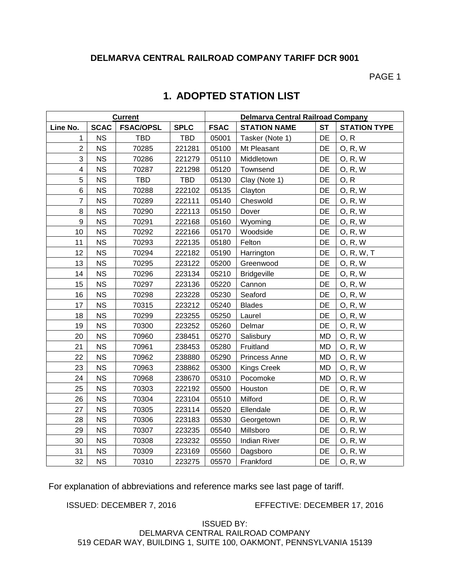#### **DELMARVA CENTRAL RAILROAD COMPANY TARIFF DCR 9001**

PAGE 1

| <b>Current</b>          |             |                  |             | Delmarva Central Railroad Company |                      |           |                     |  |
|-------------------------|-------------|------------------|-------------|-----------------------------------|----------------------|-----------|---------------------|--|
| Line No.                | <b>SCAC</b> | <b>FSAC/OPSL</b> | <b>SPLC</b> | <b>FSAC</b>                       | <b>STATION NAME</b>  | <b>ST</b> | <b>STATION TYPE</b> |  |
| 1                       | <b>NS</b>   | <b>TBD</b>       | <b>TBD</b>  | 05001                             | Tasker (Note 1)      | DE        | O, R                |  |
| $\overline{2}$          | <b>NS</b>   | 70285            | 221281      | 05100                             | Mt Pleasant          | DE        | O, R, W             |  |
| 3                       | <b>NS</b>   | 70286            | 221279      | 05110                             | Middletown           | DE        | 0, R, W             |  |
| $\overline{\mathbf{4}}$ | <b>NS</b>   | 70287            | 221298      | 05120                             | Townsend             | DE        | O, R, W             |  |
| 5                       | <b>NS</b>   | <b>TBD</b>       | TBD         | 05130                             | Clay (Note 1)        | DE        | O, R                |  |
| $\,6$                   | <b>NS</b>   | 70288            | 222102      | 05135                             | Clayton              | DE        | 0, R, W             |  |
| $\overline{7}$          | <b>NS</b>   | 70289            | 222111      | 05140                             | Cheswold             | DE        | 0, R, W             |  |
| 8                       | <b>NS</b>   | 70290            | 222113      | 05150                             | Dover                | DE        | 0, R, W             |  |
| $\boldsymbol{9}$        | <b>NS</b>   | 70291            | 222168      | 05160                             | Wyoming              | DE        | 0, R, W             |  |
| 10                      | <b>NS</b>   | 70292            | 222166      | 05170                             | Woodside             | DE        | 0, R, W             |  |
| 11                      | <b>NS</b>   | 70293            | 222135      | 05180                             | Felton               | DE        | 0, R, W             |  |
| 12                      | <b>NS</b>   | 70294            | 222182      | 05190                             | Harrington           | DE        | O, R, W, T          |  |
| 13                      | <b>NS</b>   | 70295            | 223122      | 05200                             | Greenwood            | DE        | O, R, W             |  |
| 14                      | <b>NS</b>   | 70296            | 223134      | 05210                             | <b>Bridgeville</b>   | DE        | O, R, W             |  |
| 15                      | <b>NS</b>   | 70297            | 223136      | 05220                             | Cannon               | DE        | 0, R, W             |  |
| 16                      | <b>NS</b>   | 70298            | 223228      | 05230                             | Seaford              | DE        | 0, R, W             |  |
| 17                      | <b>NS</b>   | 70315            | 223212      | 05240                             | <b>Blades</b>        | DE        | 0, R, W             |  |
| 18                      | <b>NS</b>   | 70299            | 223255      | 05250                             | Laurel               | DE        | 0, R, W             |  |
| 19                      | <b>NS</b>   | 70300            | 223252      | 05260                             | Delmar               | DE        | 0, R, W             |  |
| 20                      | <b>NS</b>   | 70960            | 238451      | 05270                             | Salisbury            | MD        | O, R, W             |  |
| 21                      | <b>NS</b>   | 70961            | 238453      | 05280                             | Fruitland            | <b>MD</b> | 0, R, W             |  |
| 22                      | <b>NS</b>   | 70962            | 238880      | 05290                             | <b>Princess Anne</b> | <b>MD</b> | O, R, W             |  |
| 23                      | <b>NS</b>   | 70963            | 238862      | 05300                             | <b>Kings Creek</b>   | <b>MD</b> | 0, R, W             |  |
| 24                      | <b>NS</b>   | 70968            | 238670      | 05310                             | Pocomoke             | <b>MD</b> | 0, R, W             |  |
| 25                      | <b>NS</b>   | 70303            | 222192      | 05500                             | Houston              | DE        | O, R, W             |  |
| 26                      | <b>NS</b>   | 70304            | 223104      | 05510                             | Milford              | DE        | 0, R, W             |  |
| 27                      | <b>NS</b>   | 70305            | 223114      | 05520                             | Ellendale            | DE        | 0, R, W             |  |
| 28                      | <b>NS</b>   | 70306            | 223183      | 05530                             | Georgetown           | DE        | O, R, W             |  |
| 29                      | <b>NS</b>   | 70307            | 223235      | 05540                             | Millsboro            | DE        | 0, R, W             |  |
| 30                      | <b>NS</b>   | 70308            | 223232      | 05550                             | <b>Indian River</b>  | DE        | 0, R, W             |  |
| 31                      | <b>NS</b>   | 70309            | 223169      | 05560                             | Dagsboro             | DE        | 0, R, W             |  |
| 32                      | <b>NS</b>   | 70310            | 223275      | 05570                             | Frankford            | DE        | <b>O, R, W</b>      |  |

## **1. ADOPTED STATION LIST**

For explanation of abbreviations and reference marks see last page of tariff.

ISSUED: DECEMBER 7, 2016 EFFECTIVE: DECEMBER 17, 2016

ISSUED BY: DELMARVA CENTRAL RAILROAD COMPANY 519 CEDAR WAY, BUILDING 1, SUITE 100, OAKMONT, PENNSYLVANIA 15139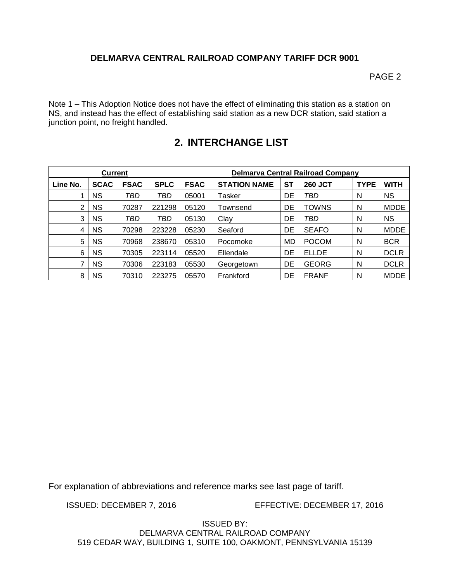#### **DELMARVA CENTRAL RAILROAD COMPANY TARIFF DCR 9001**

PAGE 2

Note 1 – This Adoption Notice does not have the effect of eliminating this station as a station on NS, and instead has the effect of establishing said station as a new DCR station, said station a junction point, no freight handled.

| <b>Current</b> |             |             |             | <b>Delmarva Central Railroad Company</b> |                     |           |                |             |             |
|----------------|-------------|-------------|-------------|------------------------------------------|---------------------|-----------|----------------|-------------|-------------|
| Line No.       | <b>SCAC</b> | <b>FSAC</b> | <b>SPLC</b> | <b>FSAC</b>                              | <b>STATION NAME</b> | SТ        | <b>260 JCT</b> | <b>TYPE</b> | WITH        |
|                | <b>NS</b>   | TBD         | TBD         | 05001                                    | Tasker              | DE        | TBD            | N           | <b>NS</b>   |
| $\overline{2}$ | <b>NS</b>   | 70287       | 221298      | 05120                                    | Townsend            | DE        | <b>TOWNS</b>   | N           | <b>MDDE</b> |
| 3              | <b>NS</b>   | TBD         | TBD         | 05130                                    | Clay                | DE        | TBD            | N           | <b>NS</b>   |
| 4              | <b>NS</b>   | 70298       | 223228      | 05230                                    | Seaford             | DE        | <b>SEAFO</b>   | N           | <b>MDDE</b> |
| 5              | <b>NS</b>   | 70968       | 238670      | 05310                                    | Pocomoke            | <b>MD</b> | <b>POCOM</b>   | N           | <b>BCR</b>  |
| 6              | <b>NS</b>   | 70305       | 223114      | 05520                                    | Ellendale           | DE        | <b>ELLDE</b>   | N           | <b>DCLR</b> |
| 7              | <b>NS</b>   | 70306       | 223183      | 05530                                    | Georgetown          | DE        | <b>GEORG</b>   | N           | <b>DCLR</b> |
| 8              | <b>NS</b>   | 70310       | 223275      | 05570                                    | Frankford           | DE        | <b>FRANF</b>   | N           | <b>MDDE</b> |

### **2. INTERCHANGE LIST**

For explanation of abbreviations and reference marks see last page of tariff.

ISSUED: DECEMBER 7, 2016 EFFECTIVE: DECEMBER 17, 2016

ISSUED BY: DELMARVA CENTRAL RAILROAD COMPANY 519 CEDAR WAY, BUILDING 1, SUITE 100, OAKMONT, PENNSYLVANIA 15139